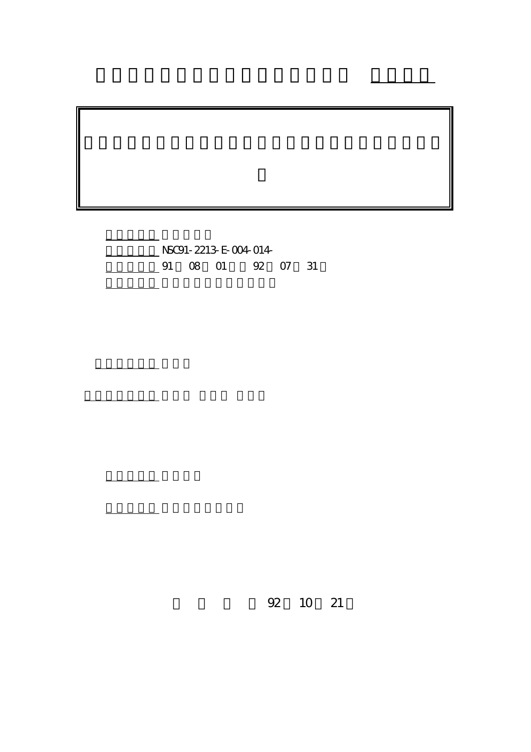計畫編號: NSC91-2213-E-004-014- <u>- 91 08 01 92 07 31</u>

執行單位: 國立政治大學資訊科學系

計畫主持人: 胡毓忠

計畫參與人員: 楊銘煇 唐朝緯 陳世庭

。<br>在前書 : 本計畫可公開查

報告類型: 精簡報告

行政院國家科學委員會專題研究計畫 成果報告

92 10 21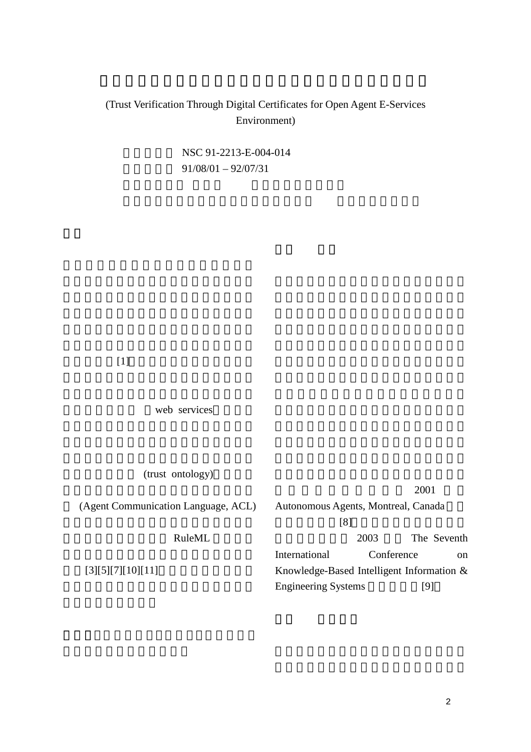## (Trust Verification Through Digital Certificates for Open Agent E-Services Environment)

NSC 91-2213-E-004-014 計畫期限: 91/08/01 – 92/07/31

 $[1]$ 

web services

(trust ontology)

 (Agent Communication Language, ACL) RuleML  $[3][5][7][10][11]$ 2001 Autonomous Agents, Montreal, Canada  $[8]$ 2003 The Seventh International Conference on Knowledge-Based Intelligent Information & Engineering Systems [9]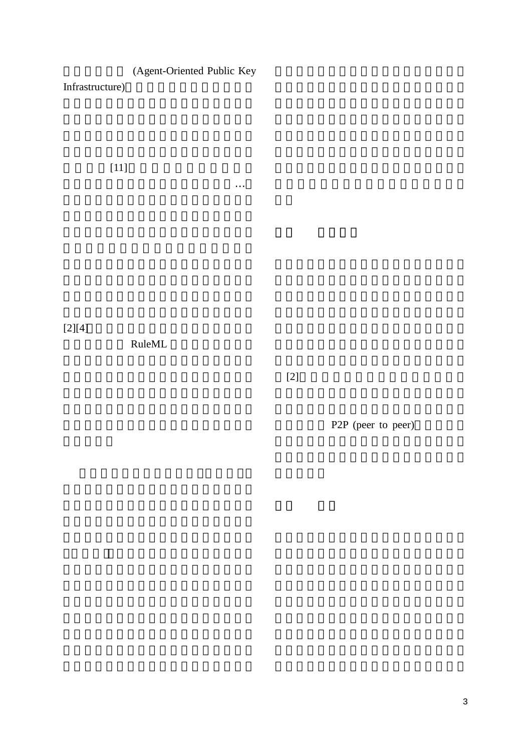## (Agent-Oriented Public Key

Infrastructure)

 $[11]$ 

 $[2][4]$ 

RuleML

 $[2]$ 

P2P (peer to peer)